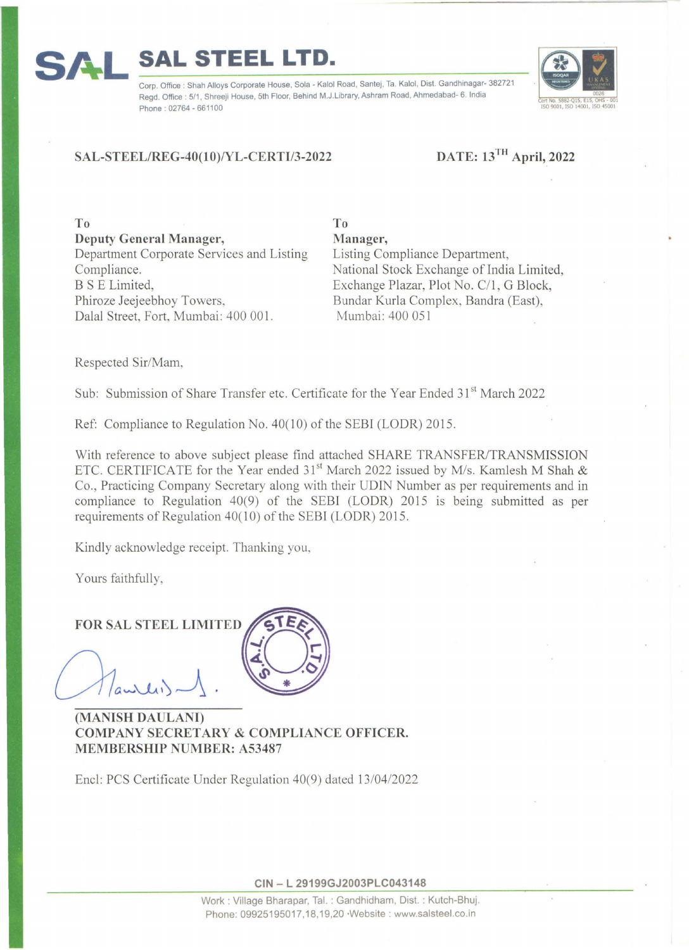### Regd. Office : 5/1, Shreeji House, 5th Floor, Behind M.J.Library, Ashram Road, Ahmedabad- 6. India o. Office : Shah Alloys Corporate House, Sola - Kalol Road, Santej, Ta. Kalol, Dist. Gandhinagar 3827" ~ Phone: 02764 - 661100

**To** 

# **SAL-STEEL/REG-40(10)/YL-CERTI/3-2022**

# **DATE: 13TH April, 2022**

**To Deputy General Manager,**  Department Corporate Services and Listing Compliance. BS E Limited, Phiroze Jeejeebhoy Towers, Dalal Street, Fort, Mumbai: 400 001.

**Manager,**  Listing Compliance Department, National Stock Exchange of India Limited, Exchange Plazar, Plot No. C/l , G Block, Bundar Kurla Complex, Bandra (East), Mumbai: 400 051

Respected Sir/Mam,

**S A L** 

Sub: Submission of Share Transfer etc. Certificate for the Year Ended 31<sup>st</sup> March 2022

Ref: Compliance to Regulation No. 40(10) of the SEBI (LODR) 2015.

With reference to above subject please find attached SHARE TRANSFER/TRANSMISSION ETC. CERTIFICATE for the Year ended  $31<sup>st</sup>$  March 2022 issued by M/s. Kamlesh M Shah & Co., Practicing Company Secretary along with their UDIN Number as per requirements and in compliance to Regulation 40(9) of the SEBI (LODR) 2015 is being submitted as per requirements of Regulation 40(10) of the SEBI (LODR) 2015 .

Kindly acknowledge receipt. Thanking you,

Yours faithfully,

**FOR SAL STEEL LIMITED** 



**(MANISH DADLANI) COMPANY SECRETARY & COMPLIANCE OFFICER. MEMBERSHIP NUMBER: A53487** 

Encl: PCS Certificate Under Regulation 40(9) dated 13/04/2022

**CIN - L 29199GJ2003PLC043148**